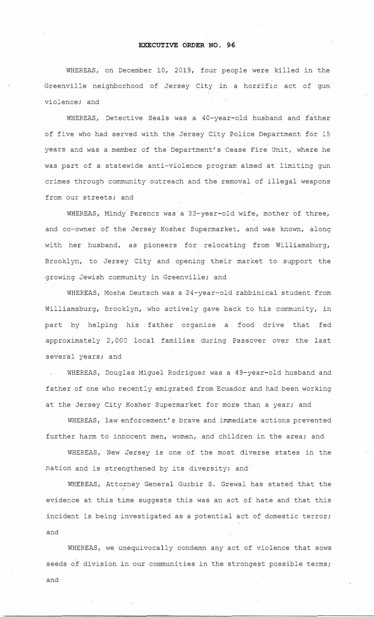## **EXECUTIVE ORDER NO. 96**

WHEREAS, on December 10, 2019, four people were killed in the Greenville neighborhood of Jersey City in a horrific act of gun violence; and

WHEREAS, Detective Seals was a 40-year-old husband and father of five who had served with the Jersey City Police Department for 15 years and was a member of the Department's Cease Fire Unit, where he was part of a statewide anti-violence program aimed at limiting gun crimes through community outreach and the removal of illegal weapons from our streets; and

WHEREAS, Mindy Ferencz was a 33-year-old wife, mother of three, and co-owner of the Jersey Kosher Supermarket, and was known, along with her husband, as pioneers for relocating from Williamsburg, Brooklyn, to Jersey City and opening their market to support the growing Jewish community in Greenville; and

WHEREAS, Moshe Deutsch was a 24-year-old rabbinical student from Williamsburg, Brooklyn, who actively gave back to his community, in part by helping his father organize a food drive that fed approximately 2,000 local families during Passover over the last several years; and

WHEREAS, Douglas Miguel Rodriguez was a 49-year-old husband and father of one who recently emigrated from Ecuador and had been working at the Jersey City Kosher Supermarket for more than a year; and

WHEREAS, law enforcement's brave and immediate actions prevented further harm to innocent men, women, and children in the area; and

WHEREAS, New Jersey is one of the most diverse states in the nation and is strengthened by its diversity; and

WHEREAS, Attorney General Gurbir S. Grewal has stated that the evidence at this time suggests this was an act of hate and that this incident is being investigated as a potential act of domestic terror; and

WHEREAS, we unequivocally condemn any act of violence that sows seeds of division in our communities in the strongest possible terms; and